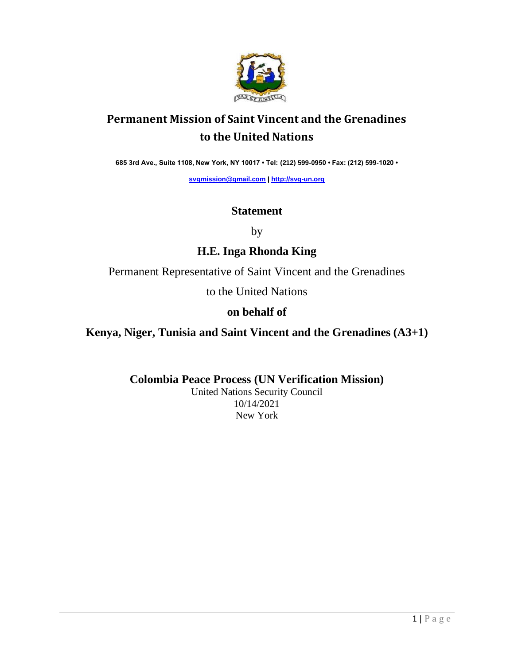

# **Permanent Mission of Saint Vincent and the Grenadines to the United Nations**

**685 3rd Ave., Suite 1108, New York, NY 10017 • Tel: (212) 599-0950 • Fax: (212) 599-1020 •** 

**[svgmission@gmail.com](mailto:svgmission@gmail.com) [| http://svg-un.org](http://svg-un.org/)**

### **Statement**

by

# **H.E. Inga Rhonda King**

Permanent Representative of Saint Vincent and the Grenadines

to the United Nations

## **on behalf of**

**Kenya, Niger, Tunisia and Saint Vincent and the Grenadines (A3+1)**

**Colombia Peace Process (UN Verification Mission)**

United Nations Security Council 10/14/2021 New York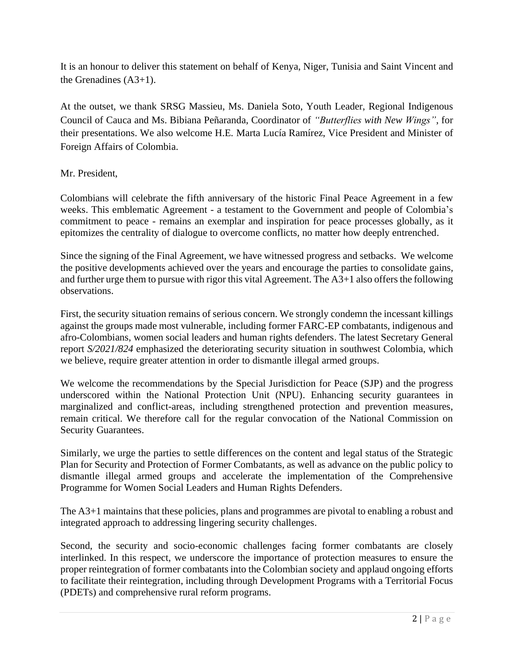It is an honour to deliver this statement on behalf of Kenya, Niger, Tunisia and Saint Vincent and the Grenadines (A3+1).

At the outset, we thank SRSG Massieu, Ms. Daniela Soto, Youth Leader, Regional Indigenous Council of Cauca and Ms. Bibiana Peñaranda, Coordinator of *"Butterflies with New Wings"*, for their presentations. We also welcome H.E. Marta Lucía Ramírez, Vice President and Minister of Foreign Affairs of Colombia.

#### Mr. President,

Colombians will celebrate the fifth anniversary of the historic Final Peace Agreement in a few weeks. This emblematic Agreement - a testament to the Government and people of Colombia's commitment to peace - remains an exemplar and inspiration for peace processes globally, as it epitomizes the centrality of dialogue to overcome conflicts, no matter how deeply entrenched.

Since the signing of the Final Agreement, we have witnessed progress and setbacks. We welcome the positive developments achieved over the years and encourage the parties to consolidate gains, and further urge them to pursue with rigor this vital Agreement. The  $A3+1$  also offers the following observations.

First, the security situation remains of serious concern. We strongly condemn the incessant killings against the groups made most vulnerable, including former FARC-EP combatants, indigenous and afro-Colombians, women social leaders and human rights defenders. The latest Secretary General report *S/2021/824* emphasized the deteriorating security situation in southwest Colombia, which we believe, require greater attention in order to dismantle illegal armed groups.

We welcome the recommendations by the Special Jurisdiction for Peace (SJP) and the progress underscored within the National Protection Unit (NPU). Enhancing security guarantees in marginalized and conflict-areas, including strengthened protection and prevention measures, remain critical. We therefore call for the regular convocation of the National Commission on Security Guarantees.

Similarly, we urge the parties to settle differences on the content and legal status of the Strategic Plan for Security and Protection of Former Combatants, as well as advance on the public policy to dismantle illegal armed groups and accelerate the implementation of the Comprehensive Programme for Women Social Leaders and Human Rights Defenders.

The A3+1 maintains that these policies, plans and programmes are pivotal to enabling a robust and integrated approach to addressing lingering security challenges.

Second, the security and socio-economic challenges facing former combatants are closely interlinked. In this respect, we underscore the importance of protection measures to ensure the proper reintegration of former combatants into the Colombian society and applaud ongoing efforts to facilitate their reintegration, including through Development Programs with a Territorial Focus (PDETs) and comprehensive rural reform programs.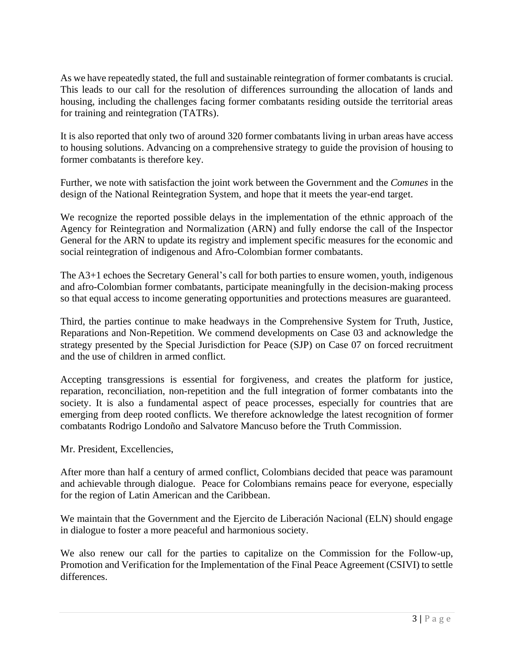As we have repeatedly stated, the full and sustainable reintegration of former combatants is crucial. This leads to our call for the resolution of differences surrounding the allocation of lands and housing, including the challenges facing former combatants residing outside the territorial areas for training and reintegration (TATRs).

It is also reported that only two of around 320 former combatants living in urban areas have access to housing solutions. Advancing on a comprehensive strategy to guide the provision of housing to former combatants is therefore key.

Further, we note with satisfaction the joint work between the Government and the *Comunes* in the design of the National Reintegration System, and hope that it meets the year-end target.

We recognize the reported possible delays in the implementation of the ethnic approach of the Agency for Reintegration and Normalization (ARN) and fully endorse the call of the Inspector General for the ARN to update its registry and implement specific measures for the economic and social reintegration of indigenous and Afro-Colombian former combatants.

The A3+1 echoes the Secretary General's call for both parties to ensure women, youth, indigenous and afro-Colombian former combatants, participate meaningfully in the decision-making process so that equal access to income generating opportunities and protections measures are guaranteed.

Third, the parties continue to make headways in the Comprehensive System for Truth, Justice, Reparations and Non-Repetition. We commend developments on Case 03 and acknowledge the strategy presented by the Special Jurisdiction for Peace (SJP) on Case 07 on forced recruitment and the use of children in armed conflict.

Accepting transgressions is essential for forgiveness, and creates the platform for justice, reparation, reconciliation, non-repetition and the full integration of former combatants into the society. It is also a fundamental aspect of peace processes, especially for countries that are emerging from deep rooted conflicts. We therefore acknowledge the latest recognition of former combatants Rodrigo Londoño and Salvatore Mancuso before the Truth Commission.

Mr. President, Excellencies,

After more than half a century of armed conflict, Colombians decided that peace was paramount and achievable through dialogue. Peace for Colombians remains peace for everyone, especially for the region of Latin American and the Caribbean.

We maintain that the Government and the Ejercito de Liberación Nacional (ELN) should engage in dialogue to foster a more peaceful and harmonious society.

We also renew our call for the parties to capitalize on the Commission for the Follow-up, Promotion and Verification for the Implementation of the Final Peace Agreement (CSIVI) to settle differences.